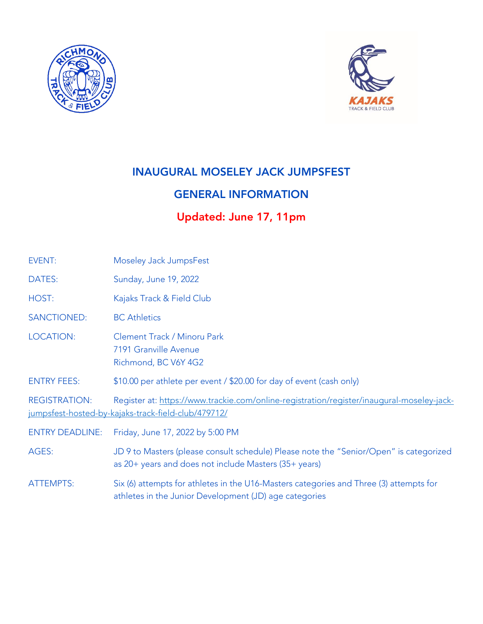



## INAUGURAL MOSELEY JACK JUMPSFEST

## GENERAL INFORMATION

# Updated: June 17, 11pm

| EVENT:                 | Moseley Jack JumpsFest                                                                                                                           |  |
|------------------------|--------------------------------------------------------------------------------------------------------------------------------------------------|--|
| DATES:                 | Sunday, June 19, 2022                                                                                                                            |  |
| HOST:                  | Kajaks Track & Field Club                                                                                                                        |  |
| <b>SANCTIONED:</b>     | <b>BC</b> Athletics                                                                                                                              |  |
| <b>LOCATION:</b>       | Clement Track / Minoru Park<br>7191 Granville Avenue<br>Richmond, BC V6Y 4G2                                                                     |  |
| <b>ENTRY FEES:</b>     | \$10.00 per athlete per event / \$20.00 for day of event (cash only)                                                                             |  |
| <b>REGISTRATION:</b>   | Register at: https://www.trackie.com/online-registration/register/inaugural-moseley-jack-<br>jumpsfest-hosted-by-kajaks-track-field-club/479712/ |  |
| <b>ENTRY DEADLINE:</b> | Friday, June 17, 2022 by 5:00 PM                                                                                                                 |  |
| AGES:                  | JD 9 to Masters (please consult schedule) Please note the "Senior/Open" is categorized<br>as 20+ years and does not include Masters (35+ years)  |  |
| <b>ATTEMPTS:</b>       | Six (6) attempts for athletes in the U16-Masters categories and Three (3) attempts for<br>athletes in the Junior Development (JD) age categories |  |